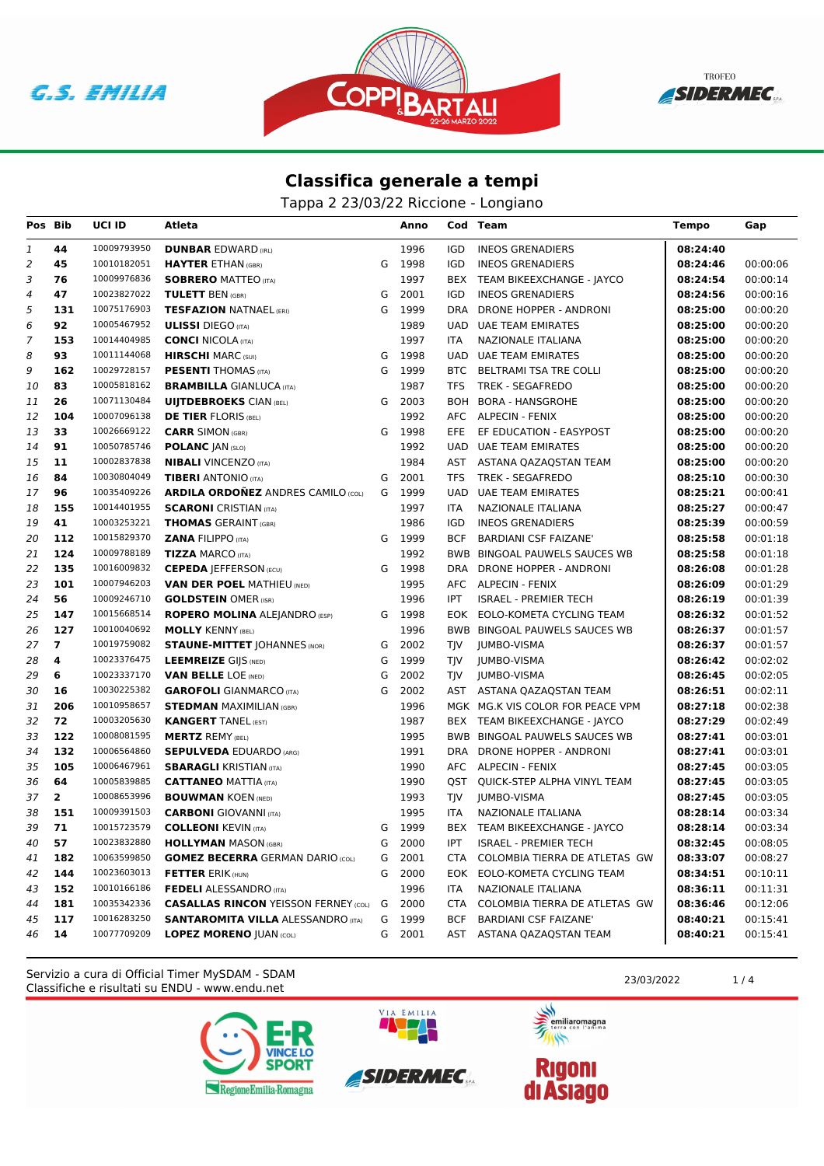**G.S. EMILIA** 





## **Classifica generale a tempi**

Tappa 2 23/03/22 Riccione - Longiano

| Pos Bib        |                | UCI ID      | Atleta                                      |   | Anno   |            | Cod Team                         | Tempo    | Gap      |
|----------------|----------------|-------------|---------------------------------------------|---|--------|------------|----------------------------------|----------|----------|
| 1              | 44             | 10009793950 | <b>DUNBAR EDWARD (IRL)</b>                  |   | 1996   | <b>IGD</b> | <b>INEOS GRENADIERS</b>          | 08:24:40 |          |
| 2              | 45             | 10010182051 | <b>HAYTER ETHAN (GBR)</b>                   |   | G 1998 | IGD        | <b>INEOS GRENADIERS</b>          | 08:24:46 | 00:00:06 |
| 3              | 76             | 10009976836 | <b>SOBRERO MATTEO (ITA)</b>                 |   | 1997   | BEX        | TEAM BIKEEXCHANGE - JAYCO        | 08:24:54 | 00:00:14 |
| 4              | 47             | 10023827022 | <b>TULETT BEN (GBR)</b>                     | G | 2001   | <b>IGD</b> | <b>INEOS GRENADIERS</b>          | 08:24:56 | 00:00:16 |
| 5              | 131            | 10075176903 | <b>TESFAZION NATNAEL (ERI)</b>              | G | 1999   | <b>DRA</b> | DRONE HOPPER - ANDRONI           | 08:25:00 | 00:00:20 |
| 6              | 92             | 10005467952 | <b>ULISSI</b> DIEGO (ITA)                   |   | 1989   | <b>UAD</b> | UAE TEAM EMIRATES                | 08:25:00 | 00:00:20 |
| $\overline{7}$ | 153            | 10014404985 | <b>CONCI NICOLA (ITA)</b>                   |   | 1997   | <b>ITA</b> | NAZIONALE ITALIANA               | 08:25:00 | 00:00:20 |
| 8              | 93             | 10011144068 | <b>HIRSCHI MARC (SUI)</b>                   | G | 1998   |            | <b>UAD UAE TEAM EMIRATES</b>     | 08:25:00 | 00:00:20 |
| 9              | 162            | 10029728157 | <b>PESENTI THOMAS (ITA)</b>                 | G | 1999   |            | BTC BELTRAMI TSA TRE COLLI       | 08:25:00 | 00:00:20 |
| 10             | 83             | 10005818162 | <b>BRAMBILLA GIANLUCA (ITA)</b>             |   | 1987   | <b>TFS</b> | TREK - SEGAFREDO                 | 08:25:00 | 00:00:20 |
| 11             | 26             | 10071130484 | <b>UIJTDEBROEKS CIAN (BEL)</b>              | G | 2003   |            | BOH BORA - HANSGROHE             | 08:25:00 | 00:00:20 |
| 12             | 104            | 10007096138 | <b>DE TIER FLORIS (BEL)</b>                 |   | 1992   |            | AFC ALPECIN - FENIX              | 08:25:00 | 00:00:20 |
| 13             | 33             | 10026669122 | <b>CARR SIMON (GBR)</b>                     |   | G 1998 | EFE.       | EF EDUCATION - EASYPOST          | 08:25:00 | 00:00:20 |
| 14             | 91             | 10050785746 | <b>POLANC JAN (SLO)</b>                     |   | 1992   |            | UAD UAE TEAM EMIRATES            | 08:25:00 | 00:00:20 |
| 15             | 11             | 10002837838 | <b>NIBALI VINCENZO (ITA)</b>                |   | 1984   |            | AST ASTANA QAZAQSTAN TEAM        | 08:25:00 | 00:00:20 |
| 16             | 84             | 10030804049 | <b>TIBERI</b> ANTONIO (ITA)                 | G | 2001   | <b>TFS</b> | <b>TREK - SEGAFREDO</b>          | 08:25:10 | 00:00:30 |
| 17             | 96             | 10035409226 | <b>ARDILA ORDONEZ ANDRES CAMILO (COL)</b>   |   | G 1999 | UAD        | <b>UAE TEAM EMIRATES</b>         | 08:25:21 | 00:00:41 |
| 18             | 155            | 10014401955 | <b>SCARONI</b> CRISTIAN (ITA)               |   | 1997   | <b>ITA</b> | <b>NAZIONALE ITALIANA</b>        | 08:25:27 | 00:00:47 |
| 19             | 41             | 10003253221 | <b>THOMAS GERAINT (GBR)</b>                 |   | 1986   | <b>IGD</b> | <b>INEOS GRENADIERS</b>          | 08:25:39 | 00:00:59 |
| 20             | 112            | 10015829370 | <b>ZANA FILIPPO (ITA)</b>                   | G | 1999   | <b>BCF</b> | <b>BARDIANI CSF FAIZANE'</b>     | 08:25:58 | 00:01:18 |
| 21             | 124            | 10009788189 | <b>TIZZA MARCO (ITA)</b>                    |   | 1992   |            | BWB BINGOAL PAUWELS SAUCES WB    | 08:25:58 | 00:01:18 |
| 22             | 135            | 10016009832 | <b>CEPEDA JEFFERSON (ECU)</b>               | G | 1998   |            | DRA DRONE HOPPER - ANDRONI       | 08:26:08 | 00:01:28 |
| 23             | 101            | 10007946203 | <b>VAN DER POEL MATHIEU (NED)</b>           |   | 1995   |            | AFC ALPECIN - FENIX              | 08:26:09 | 00:01:29 |
| 24             | 56             | 10009246710 | <b>GOLDSTEIN OMER (ISR)</b>                 |   | 1996   | <b>IPT</b> | <b>ISRAEL - PREMIER TECH</b>     | 08:26:19 | 00:01:39 |
| 25             | 147            | 10015668514 | <b>ROPERO MOLINA ALEJANDRO (ESP)</b>        | G | 1998   |            | EOK EOLO-KOMETA CYCLING TEAM     | 08:26:32 | 00:01:52 |
| 26             | 127            | 10010040692 | <b>MOLLY KENNY (BEL)</b>                    |   | 1996   |            | BWB BINGOAL PAUWELS SAUCES WB    | 08:26:37 | 00:01:57 |
| 27             | $\overline{7}$ | 10019759082 | <b>STAUNE-MITTET JOHANNES (NOR)</b>         | G | 2002   | <b>TIV</b> | JUMBO-VISMA                      | 08:26:37 | 00:01:57 |
| 28             | 4              | 10023376475 | <b>LEEMREIZE GIJS (NED)</b>                 | G | 1999   | <b>TIV</b> | JUMBO-VISMA                      | 08:26:42 | 00:02:02 |
| 29             | 6              | 10023337170 | <b>VAN BELLE LOE (NED)</b>                  | G | 2002   | <b>TIV</b> | JUMBO-VISMA                      | 08:26:45 | 00:02:05 |
| 30             | 16             | 10030225382 | <b>GAROFOLI</b> GIANMARCO (ITA)             | G | 2002   |            | AST ASTANA QAZAQSTAN TEAM        | 08:26:51 | 00:02:11 |
| 31             | 206            | 10010958657 | <b>STEDMAN MAXIMILIAN (GBR)</b>             |   | 1996   |            | MGK MG.K VIS COLOR FOR PEACE VPM | 08:27:18 | 00:02:38 |
| 32             | 72             | 10003205630 | <b>KANGERT TANEL (EST)</b>                  |   | 1987   |            | BEX TEAM BIKEEXCHANGE - JAYCO    | 08:27:29 | 00:02:49 |
| 33             | 122            | 10008081595 | <b>MERTZ REMY (BEL)</b>                     |   | 1995   |            | BWB BINGOAL PAUWELS SAUCES WB    | 08:27:41 | 00:03:01 |
| 34             | 132            | 10006564860 | <b>SEPULVEDA EDUARDO (ARG)</b>              |   | 1991   |            | DRA DRONE HOPPER - ANDRONI       | 08:27:41 | 00:03:01 |
| 35             | 105            | 10006467961 | <b>SBARAGLI KRISTIAN (ITA)</b>              |   | 1990   |            | AFC ALPECIN - FENIX              | 08:27:45 | 00:03:05 |
| 36             | 64             | 10005839885 | <b>CATTANEO MATTIA (ITA)</b>                |   | 1990   |            | QST QUICK-STEP ALPHA VINYL TEAM  | 08:27:45 | 00:03:05 |
| 37             | $\mathbf{2}$   | 10008653996 | <b>BOUWMAN KOEN (NED)</b>                   |   | 1993   | TJV        | JUMBO-VISMA                      | 08:27:45 | 00:03:05 |
| 38             | 151            | 10009391503 | <b>CARBONI</b> GIOVANNI (ITA)               |   | 1995   | ITA.       | NAZIONALE ITALIANA               | 08:28:14 | 00:03:34 |
| 39             | 71             | 10015723579 | <b>COLLEONI KEVIN (ITA)</b>                 | G | 1999   |            | BEX TEAM BIKEEXCHANGE - JAYCO    | 08:28:14 | 00:03:34 |
| 40             | 57             | 10023832880 | <b>HOLLYMAN MASON (GBR)</b>                 | G | 2000   | <b>IPT</b> | <b>ISRAEL - PREMIER TECH</b>     | 08:32:45 | 00:08:05 |
| 41             | 182            | 10063599850 | <b>GOMEZ BECERRA GERMAN DARIO (COL)</b>     | G | 2001   | <b>CTA</b> | COLOMBIA TIERRA DE ATLETAS GW    | 08:33:07 | 00:08:27 |
| 42             | 144            | 10023603013 | <b>FETTER ERIK (HUN)</b>                    | G | 2000   |            | EOK EOLO-KOMETA CYCLING TEAM     | 08:34:51 | 00:10:11 |
| 43             | 152            | 10010166186 | <b>FEDELI ALESSANDRO (ITA)</b>              |   | 1996   | <b>ITA</b> | NAZIONALE ITALIANA               | 08:36:11 | 00:11:31 |
| 44             | 181            | 10035342336 | <b>CASALLAS RINCON YEISSON FERNEY (COL)</b> | G | 2000   | <b>CTA</b> | COLOMBIA TIERRA DE ATLETAS GW    | 08:36:46 | 00:12:06 |
| 45             | 117            | 10016283250 | <b>SANTAROMITA VILLA ALESSANDRO (ITA)</b>   | G | 1999   | <b>BCF</b> | <b>BARDIANI CSF FAIZANE'</b>     | 08:40:21 | 00:15:41 |
| 46             | 14             | 10077709209 | <b>LOPEZ MORENO JUAN (COL)</b>              | G | 2001   |            | AST ASTANA QAZAQSTAN TEAM        | 08:40:21 | 00:15:41 |

Classifiche e risultati su ENDU - www.endu.net Servizio a cura di Official Timer MySDAM - SDAM 23/03/2022 1/4





VIA EMILIA



**Rigoni<br>di Asiago**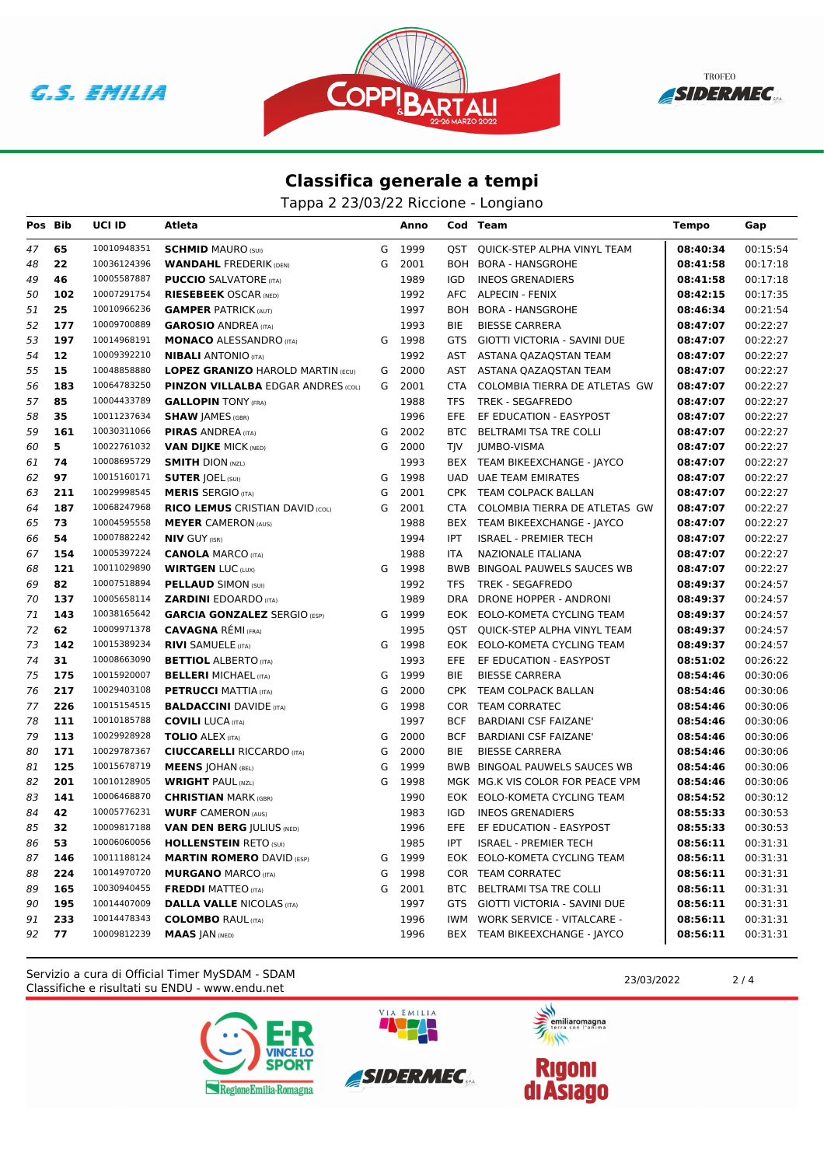





## **Classifica generale a tempi**

Tappa 2 23/03/22 Riccione - Longiano

| Pos Bib |     | <b>UCI ID</b> | Atleta                                    |   | Anno   |            | Cod Team                         | <b>Tempo</b> | Gap      |
|---------|-----|---------------|-------------------------------------------|---|--------|------------|----------------------------------|--------------|----------|
| 47      | 65  | 10010948351   | <b>SCHMID MAURO (SUI)</b>                 | G | 1999   | QST        | QUICK-STEP ALPHA VINYL TEAM      | 08:40:34     | 00:15:54 |
| 48      | 22  | 10036124396   | <b>WANDAHL FREDERIK (DEN)</b>             | G | 2001   |            | BOH BORA - HANSGROHE             | 08:41:58     | 00:17:18 |
| 49      | 46  | 10005587887   | <b>PUCCIO</b> SALVATORE (ITA)             |   | 1989   | IGD        | <b>INEOS GRENADIERS</b>          | 08:41:58     | 00:17:18 |
| 50      | 102 | 10007291754   | <b>RIESEBEEK OSCAR (NED)</b>              |   | 1992   |            | AFC ALPECIN - FENIX              | 08:42:15     | 00:17:35 |
| 51      | 25  | 10010966236   | <b>GAMPER PATRICK (AUT)</b>               |   | 1997   |            | BOH BORA - HANSGROHE             | 08:46:34     | 00:21:54 |
| 52      | 177 | 10009700889   | <b>GAROSIO ANDREA (ITA)</b>               |   | 1993   | BIE        | <b>BIESSE CARRERA</b>            | 08:47:07     | 00:22:27 |
| 53      | 197 | 10014968191   | <b>MONACO ALESSANDRO (ITA)</b>            |   | G 1998 | GTS        | GIOTTI VICTORIA - SAVINI DUE     | 08:47:07     | 00:22:27 |
| 54      | 12  | 10009392210   | <b>NIBALI</b> ANTONIO (ITA)               |   | 1992   | AST        | ASTANA QAZAQSTAN TEAM            | 08:47:07     | 00:22:27 |
| 55      | 15  | 10048858880   | <b>LOPEZ GRANIZO HAROLD MARTIN (ECU)</b>  | G | 2000   |            | AST ASTANA QAZAQSTAN TEAM        | 08:47:07     | 00:22:27 |
| 56      | 183 | 10064783250   | <b>PINZON VILLALBA EDGAR ANDRES (COL)</b> | G | 2001   | CTA        | COLOMBIA TIERRA DE ATLETAS GW    | 08:47:07     | 00:22:27 |
| 57      | 85  | 10004433789   | <b>GALLOPIN TONY (FRA)</b>                |   | 1988   | TFS        | <b>TREK - SEGAFREDO</b>          | 08:47:07     | 00:22:27 |
| 58      | 35  | 10011237634   | <b>SHAW JAMES (GBR)</b>                   |   | 1996   | EFE.       | EF EDUCATION - EASYPOST          | 08:47:07     | 00:22:27 |
| 59      | 161 | 10030311066   | <b>PIRAS ANDREA (ITA)</b>                 | G | 2002   |            | BTC BELTRAMI TSA TRE COLLI       | 08:47:07     | 00:22:27 |
| 60      | 5   | 10022761032   | <b>VAN DIJKE MICK (NED)</b>               | G | 2000   | <b>TJV</b> | JUMBO-VISMA                      | 08:47:07     | 00:22:27 |
| 61      | 74  | 10008695729   | <b>SMITH DION (NZL)</b>                   |   | 1993   |            | BEX TEAM BIKEEXCHANGE - JAYCO    | 08:47:07     | 00:22:27 |
| 62      | 97  | 10015160171   | <b>SUTER JOEL (SUI)</b>                   | G | 1998   |            | UAD UAE TEAM EMIRATES            | 08:47:07     | 00:22:27 |
| 63      | 211 | 10029998545   | <b>MERIS SERGIO (ITA)</b>                 | G | 2001   |            | CPK TEAM COLPACK BALLAN          | 08:47:07     | 00:22:27 |
| 64      | 187 | 10068247968   | <b>RICO LEMUS CRISTIAN DAVID (COL)</b>    | G | 2001   | CTA        | COLOMBIA TIERRA DE ATLETAS GW    | 08:47:07     | 00:22:27 |
| 65      | 73  | 10004595558   | <b>MEYER CAMERON (AUS)</b>                |   | 1988   |            | BEX TEAM BIKEEXCHANGE - JAYCO    | 08:47:07     | 00:22:27 |
| 66      | 54  | 10007882242   | <b>NIV GUY (ISR)</b>                      |   | 1994   | IPT        | <b>ISRAEL - PREMIER TECH</b>     | 08:47:07     | 00:22:27 |
| 67      | 154 | 10005397224   | <b>CANOLA MARCO (ITA)</b>                 |   | 1988   | ITA        | NAZIONALE ITALIANA               | 08:47:07     | 00:22:27 |
| 68      | 121 | 10011029890   | <b>WIRTGEN LUC (LUX)</b>                  |   | G 1998 |            | BWB BINGOAL PAUWELS SAUCES WB    | 08:47:07     | 00:22:27 |
| 69      | 82  | 10007518894   | <b>PELLAUD SIMON (SUI)</b>                |   | 1992   | TFS        | <b>TREK - SEGAFREDO</b>          | 08:49:37     | 00:24:57 |
| 70      | 137 | 10005658114   | <b>ZARDINI EDOARDO</b> (ITA)              |   | 1989   | DRA        | DRONE HOPPER - ANDRONI           | 08:49:37     | 00:24:57 |
| 71      | 143 | 10038165642   | <b>GARCIA GONZALEZ SERGIO (ESP)</b>       |   | G 1999 |            | EOK EOLO-KOMETA CYCLING TEAM     | 08:49:37     | 00:24:57 |
| 72      | 62  | 10009971378   | <b>CAVAGNA REMI (FRA)</b>                 |   | 1995   |            | QST QUICK-STEP ALPHA VINYL TEAM  | 08:49:37     | 00:24:57 |
| 73      | 142 | 10015389234   | <b>RIVI SAMUELE (ITA)</b>                 | G | 1998   |            | EOK EOLO-KOMETA CYCLING TEAM     | 08:49:37     | 00:24:57 |
| 74      | 31  | 10008663090   | <b>BETTIOL ALBERTO (ITA)</b>              |   | 1993   |            | EFE EF EDUCATION - EASYPOST      | 08:51:02     | 00:26:22 |
| 75      | 175 | 10015920007   | <b>BELLERI MICHAEL (ITA)</b>              | G | 1999   | BIE        | <b>BIESSE CARRERA</b>            | 08:54:46     | 00:30:06 |
| 76      | 217 | 10029403108   | <b>PETRUCCI MATTIA (ITA)</b>              | G | 2000   |            | CPK TEAM COLPACK BALLAN          | 08:54:46     | 00:30:06 |
| 77      | 226 | 10015154515   | <b>BALDACCINI</b> DAVIDE (ITA)            | G | 1998   |            | COR TEAM CORRATEC                | 08:54:46     | 00:30:06 |
| 78      | 111 | 10010185788   | <b>COVILI LUCA (ITA)</b>                  |   | 1997   | BCF        | BARDIANI CSF FAIZANE'            | 08:54:46     | 00:30:06 |
| 79      | 113 | 10029928928   | <b>TOLIO ALEX (ITA)</b>                   | G | 2000   | <b>BCF</b> | <b>BARDIANI CSF FAIZANE'</b>     | 08:54:46     | 00:30:06 |
| 80      | 171 | 10029787367   | <b>CIUCCARELLI RICCARDO (ITA)</b>         | G | 2000   | BIE        | <b>BIESSE CARRERA</b>            | 08:54:46     | 00:30:06 |
| 81      | 125 | 10015678719   | <b>MEENS JOHAN (BEL)</b>                  | G | 1999   |            | BWB BINGOAL PAUWELS SAUCES WB    | 08:54:46     | 00:30:06 |
| 82      | 201 | 10010128905   | <b>WRIGHT PAUL (NZL)</b>                  | G | 1998   |            | MGK MG.K VIS COLOR FOR PEACE VPM | 08:54:46     | 00:30:06 |
| 83      | 141 | 10006468870   | <b>CHRISTIAN MARK (GBR)</b>               |   | 1990   |            | EOK EOLO-KOMETA CYCLING TEAM     | 08:54:52     | 00:30:12 |
| 84      | 42  | 10005776231   | <b>WURF CAMERON (AUS)</b>                 |   | 1983   | IGD        | <b>INEOS GRENADIERS</b>          | 08:55:33     | 00:30:53 |
| 85      | 32  | 10009817188   | <b>VAN DEN BERG  ULIUS (NED)</b>          |   | 1996   |            | EFE EF EDUCATION - EASYPOST      | 08:55:33     | 00:30:53 |
| 86      | 53  |               | 10006060056 HOLLENSTEIN RETO (SUI)        |   | 1985   | IPT        | <b>ISRAEL - PREMIER TECH</b>     | 08:56:11     | 00:31:31 |
| 87      | 146 | 10011188124   | <b>MARTIN ROMERO DAVID (ESP)</b>          |   | G 1999 |            | EOK EOLO-KOMETA CYCLING TEAM     | 08:56:11     | 00:31:31 |
| 88      | 224 | 10014970720   | <b>MURGANO MARCO (ITA)</b>                | G | 1998   |            | COR TEAM CORRATEC                | 08:56:11     | 00:31:31 |
| 89      | 165 | 10030940455   | <b>FREDDI MATTEO</b> (ITA)                | G | 2001   |            | BTC BELTRAMI TSA TRE COLLI       | 08:56:11     | 00:31:31 |
| 90      | 195 | 10014407009   | <b>DALLA VALLE NICOLAS (ITA)</b>          |   | 1997   |            | GTS GIOTTI VICTORIA - SAVINI DUE | 08:56:11     | 00:31:31 |
| 91      | 233 | 10014478343   | <b>COLOMBO RAUL (ITA)</b>                 |   | 1996   |            | IWM WORK SERVICE - VITALCARE -   | 08:56:11     | 00:31:31 |
| 92      | 77  | 10009812239   | <b>MAAS JAN (NED)</b>                     |   | 1996   |            | BEX TEAM BIKEEXCHANGE - JAYCO    | 08:56:11     | 00:31:31 |

Classifiche e risultati su ENDU - www.endu.net Servizio a cura di Official Timer MySDAM - SDAM 23/03/2022 2 / 4





VIA EMILIA

美元 emiliaromagna

 $\rightarrow$ 

**Rigoni<br>di Asiago**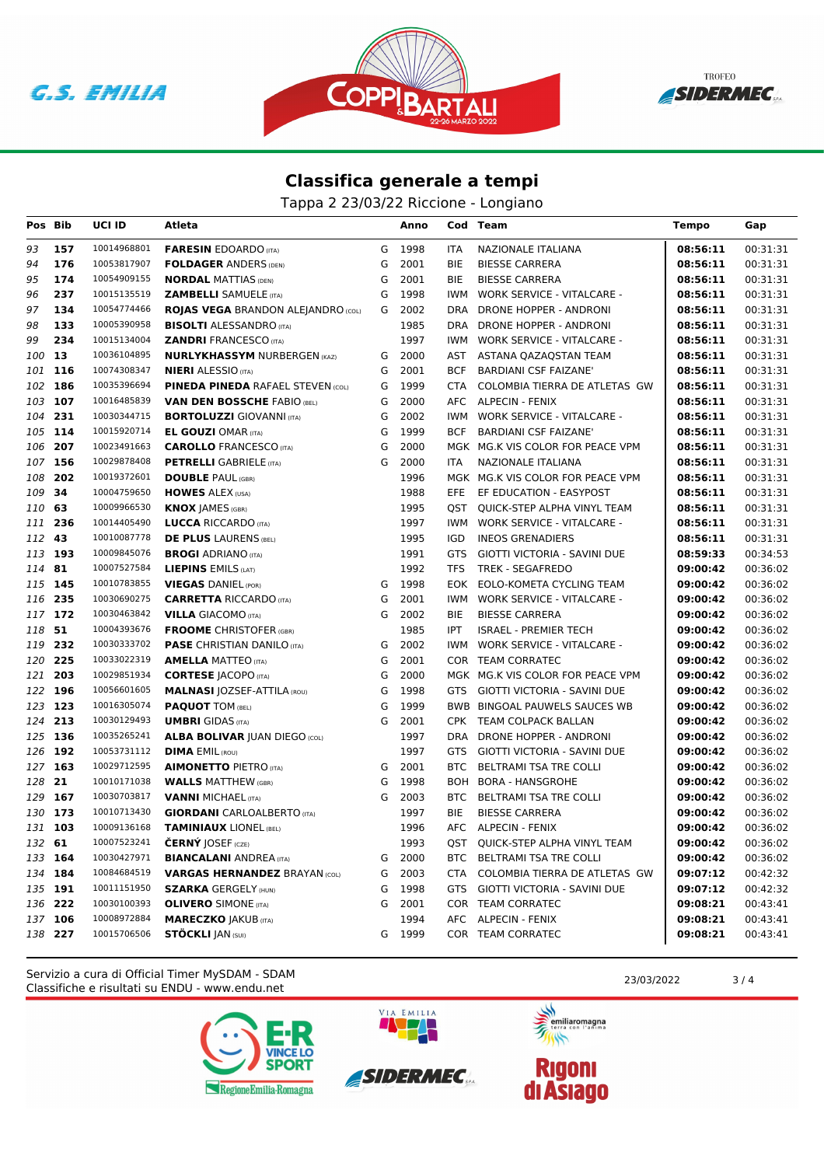





## **Classifica generale a tempi**

Tappa 2 23/03/22 Riccione - Longiano

| Pos Bib |     | <b>UCI ID</b> | Atleta                                    |   | Anno   |            | Cod Team                          | <b>Tempo</b> | Gap      |
|---------|-----|---------------|-------------------------------------------|---|--------|------------|-----------------------------------|--------------|----------|
| 93      | 157 | 10014968801   | <b>FARESIN EDOARDO (ITA)</b>              | G | 1998   | <b>ITA</b> | NAZIONALE ITALIANA                | 08:56:11     | 00:31:31 |
| 94      | 176 | 10053817907   | <b>FOLDAGER ANDERS (DEN)</b>              | G | 2001   | <b>BIE</b> | <b>BIESSE CARRERA</b>             | 08:56:11     | 00:31:31 |
| 95      | 174 | 10054909155   | <b>NORDAL MATTIAS (DEN)</b>               | G | 2001   | BIE        | <b>BIESSE CARRERA</b>             | 08:56:11     | 00:31:31 |
| 96      | 237 | 10015135519   | <b>ZAMBELLI SAMUELE (ITA)</b>             | G | 1998   | <b>IWM</b> | <b>WORK SERVICE - VITALCARE -</b> | 08:56:11     | 00:31:31 |
| 97      | 134 | 10054774466   | <b>ROJAS VEGA BRANDON ALEJANDRO (COL)</b> | G | 2002   | <b>DRA</b> | DRONE HOPPER - ANDRONI            | 08:56:11     | 00:31:31 |
| 98      | 133 | 10005390958   | <b>BISOLTI ALESSANDRO (ITA)</b>           |   | 1985   | DRA        | DRONE HOPPER - ANDRONI            | 08:56:11     | 00:31:31 |
| 99      | 234 | 10015134004   | <b>ZANDRI FRANCESCO (ITA)</b>             |   | 1997   | <b>IWM</b> | <b>WORK SERVICE - VITALCARE -</b> | 08:56:11     | 00:31:31 |
| 100     | 13  | 10036104895   | <b>NURLYKHASSYM NURBERGEN (KAZ)</b>       | G | 2000   | AST        | ASTANA QAZAQSTAN TEAM             | 08:56:11     | 00:31:31 |
| 101 116 |     | 10074308347   | <b>NIERI</b> ALESSIO (ITA)                | G | 2001   | <b>BCF</b> | <b>BARDIANI CSF FAIZANE'</b>      | 08:56:11     | 00:31:31 |
| 102 186 |     | 10035396694   | <b>PINEDA PINEDA RAFAEL STEVEN (COL)</b>  | G | 1999   | <b>CTA</b> | COLOMBIA TIERRA DE ATLETAS GW     | 08:56:11     | 00:31:31 |
| 103     | 107 | 10016485839   | <b>VAN DEN BOSSCHE FABIO (BEL)</b>        | G | 2000   | <b>AFC</b> | <b>ALPECIN - FENIX</b>            | 08:56:11     | 00:31:31 |
| 104     | 231 | 10030344715   | <b>BORTOLUZZI GIOVANNI (ITA)</b>          | G | 2002   | IWM        | <b>WORK SERVICE - VITALCARE -</b> | 08:56:11     | 00:31:31 |
| 105 114 |     | 10015920714   | <b>EL GOUZI OMAR (ITA)</b>                | G | 1999   | <b>BCF</b> | <b>BARDIANI CSF FAIZANE</b>       | 08:56:11     | 00:31:31 |
| 106     | 207 | 10023491663   | <b>CAROLLO</b> FRANCESCO (ITA)            | G | 2000   |            | MGK MG.K VIS COLOR FOR PEACE VPM  | 08:56:11     | 00:31:31 |
| 107     | 156 | 10029878408   | <b>PETRELLI</b> GABRIELE (ITA)            | G | 2000   | <b>ITA</b> | NAZIONALE ITALIANA                | 08:56:11     | 00:31:31 |
| 108     | 202 | 10019372601   | <b>DOUBLE PAUL (GBR)</b>                  |   | 1996   |            | MGK MG.K VIS COLOR FOR PEACE VPM  | 08:56:11     | 00:31:31 |
| 109     | 34  | 10004759650   | <b>HOWES ALEX (USA)</b>                   |   | 1988   | EFE.       | EF EDUCATION - EASYPOST           | 08:56:11     | 00:31:31 |
| 110     | 63  | 10009966530   | <b>KNOX JAMES (GBR)</b>                   |   | 1995   | QST        | QUICK-STEP ALPHA VINYL TEAM       | 08:56:11     | 00:31:31 |
| 111     | 236 | 10014405490   | <b>LUCCA RICCARDO (ITA)</b>               |   | 1997   | IWM        | <b>WORK SERVICE - VITALCARE -</b> | 08:56:11     | 00:31:31 |
| 112 43  |     | 10010087778   | <b>DE PLUS LAURENS (BEL)</b>              |   | 1995   | <b>IGD</b> | <b>INEOS GRENADIERS</b>           | 08:56:11     | 00:31:31 |
| 113 193 |     | 10009845076   | <b>BROGI ADRIANO (ITA)</b>                |   | 1991   | <b>GTS</b> | GIOTTI VICTORIA - SAVINI DUE      | 08:59:33     | 00:34:53 |
| 114     | 81  | 10007527584   | LIEPINS EMILS (LAT)                       |   | 1992   | TFS        | TREK - SEGAFREDO                  | 09:00:42     | 00:36:02 |
| 115 145 |     | 10010783855   | <b>VIEGAS DANIEL (POR)</b>                | G | 1998   |            | EOK EOLO-KOMETA CYCLING TEAM      | 09:00:42     | 00:36:02 |
| 116 235 |     | 10030690275   | <b>CARRETTA RICCARDO</b> (ITA)            | G | 2001   | IWM        | <b>WORK SERVICE - VITALCARE -</b> | 09:00:42     | 00:36:02 |
| 117 172 |     | 10030463842   | <b>VILLA GIACOMO (ITA)</b>                | G | 2002   | <b>BIE</b> | <b>BIESSE CARRERA</b>             | 09:00:42     | 00:36:02 |
| 118     | 51  | 10004393676   | <b>FROOME</b> CHRISTOFER (GBR)            |   | 1985   | <b>IPT</b> | ISRAEL - PREMIER TECH             | 09:00:42     | 00:36:02 |
| 119     | 232 | 10030333702   | <b>PASE</b> CHRISTIAN DANILO (ITA)        | G | 2002   | IWM        | <b>WORK SERVICE - VITALCARE -</b> | 09:00:42     | 00:36:02 |
| 120 225 |     | 10033022319   | <b>AMELLA MATTEO</b> (ITA)                | G | 2001   |            | COR TEAM CORRATEC                 | 09:00:42     | 00:36:02 |
| 121     | 203 | 10029851934   | <b>CORTESE JACOPO (ITA)</b>               | G | 2000   |            | MGK MG.K VIS COLOR FOR PEACE VPM  | 09:00:42     | 00:36:02 |
| 122 196 |     | 10056601605   | <b>MALNASI JOZSEF-ATTILA (ROU)</b>        | G | 1998   | <b>GTS</b> | GIOTTI VICTORIA - SAVINI DUE      | 09:00:42     | 00:36:02 |
| 123 123 |     | 10016305074   | <b>PAQUOT TOM (BEL)</b>                   | G | 1999   |            | BWB BINGOAL PAUWELS SAUCES WB     | 09:00:42     | 00:36:02 |
| 124     | 213 | 10030129493   | <b>UMBRI</b> GIDAS (ITA)                  | G | 2001   |            | CPK TEAM COLPACK BALLAN           | 09:00:42     | 00:36:02 |
| 125 136 |     | 10035265241   | <b>ALBA BOLIVAR JUAN DIEGO (COL)</b>      |   | 1997   |            | DRA DRONE HOPPER - ANDRONI        | 09:00:42     | 00:36:02 |
| 126 192 |     | 10053731112   | <b>DIMA EMIL (ROU)</b>                    |   | 1997   | GTS        | GIOTTI VICTORIA - SAVINI DUE      | 09:00:42     | 00:36:02 |
| 127 163 |     | 10029712595   | <b>AIMONETTO PIETRO (ITA)</b>             | G | 2001   | BTC        | BELTRAMI TSA TRE COLLI            | 09:00:42     | 00:36:02 |
| 128     | 21  | 10010171038   | <b>WALLS MATTHEW (GBR)</b>                | G | 1998   |            | BOH BORA - HANSGROHE              | 09:00:42     | 00:36:02 |
| 129 167 |     | 10030703817   | <b>VANNI MICHAEL (ITA)</b>                | G | 2003   |            | BTC BELTRAMI TSA TRE COLLI        | 09:00:42     | 00:36:02 |
| 130 173 |     | 10010713430   | <b>GIORDANI</b> CARLOALBERTO (ITA)        |   | 1997   | BIE        | <b>BIESSE CARRERA</b>             | 09:00:42     | 00:36:02 |
| 131     | 103 | 10009136168   | <b>TAMINIAUX LIONEL (BEL)</b>             |   | 1996   | AFC        | ALPECIN - FENIX                   | 09:00:42     | 00:36:02 |
| 132     | 61  | 10007523241   | <b>ČERNÝ JOSEF (CZE)</b>                  |   | 1993   | QST        | QUICK-STEP ALPHA VINYL TEAM       | 09:00:42     | 00:36:02 |
| 133 164 |     | 10030427971   | <b>BIANCALANI ANDREA (ITA)</b>            | G | 2000   | <b>BTC</b> | BELTRAMI TSA TRE COLLI            | 09:00:42     | 00:36:02 |
| 134 184 |     | 10084684519   | <b>VARGAS HERNANDEZ BRAYAN (COL)</b>      | G | 2003   | CTA        | COLOMBIA TIERRA DE ATLETAS GW     | 09:07:12     | 00:42:32 |
| 135 191 |     | 10011151950   | <b>SZARKA GERGELY (HUN)</b>               | G | 1998   | GTS        | GIOTTI VICTORIA - SAVINI DUE      | 09:07:12     | 00:42:32 |
| 136 222 |     | 10030100393   | <b>OLIVERO</b> SIMONE (ITA)               | G | 2001   |            | COR TEAM CORRATEC                 | 09:08:21     | 00:43:41 |
| 137 106 |     | 10008972884   | <b>MARECZKO JAKUB (ITA)</b>               |   | 1994   |            | AFC ALPECIN - FENIX               | 09:08:21     | 00:43:41 |
| 138 227 |     | 10015706506   | <b>STÖCKLI JAN (SUI)</b>                  |   | G 1999 |            | COR TEAM CORRATEC                 | 09:08:21     | 00:43:41 |

Classifiche e risultati su ENDU - www.endu.net Servizio a cura di Official Timer MySDAM - SDAM 23/03/2022 2003/2022 3/4





VIA EMILIA

美元 emiliaromagna

 $\rightarrow$ 

**Rigoni<br>di Asiago**